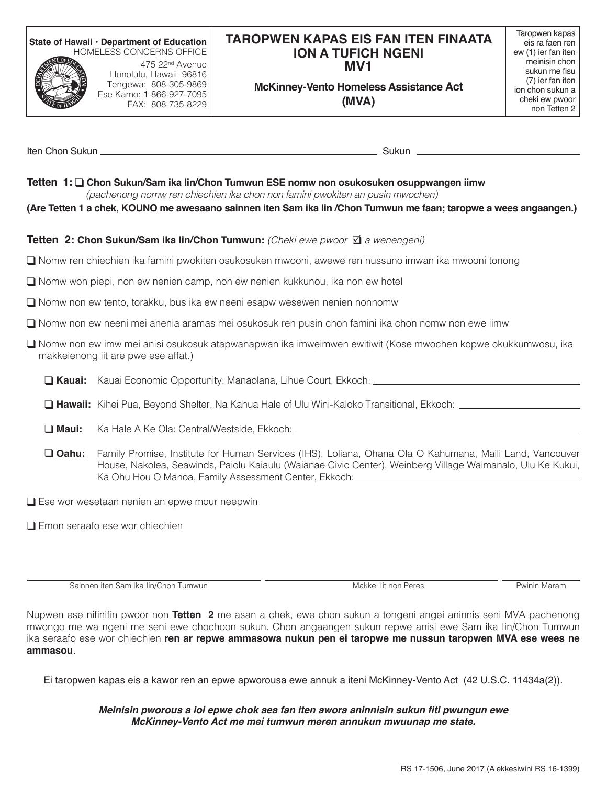**State of Hawaii • Department of Education** HOMELESS CONCERNS OFFICE



475 22nd Avenue Honolulu, Hawaii 96816 Tengewa: 808-305-9869 Ese Kamo: 1-866-927-7095 FAX: 808-735-8229

## **TAROPWEN KAPAS EIS FAN ITEN FINAATA ION A TUFICH NGENI MV1**

Taropwen kapas eis ra faen ren ew (1) ier fan iten meinisin chon sukun me fisu (7) ier fan iten ion chon sukun a cheki ew pwoor non Tetten 2

**McKinney-Vento Homeless Assistance Act (MVA)**

Iten Chon Sukun **Sukun Sukun Sukun Sukun Sukun Sukun Sukun** Sukun Sukun Sukun Sukun Sukun Sukun Sukun Sukun Sukun

## **Tetten 1:** q **Chon Sukun/Sam ika Iin/Chon Tumwun ESE nomw non osukosuken osuppwangen iimw** *(pachenong nomw ren chiechien ika chon non famini pwokiten an pusin mwochen)*

**(Are Tetten 1 a chek, KOUNO me awesaano sainnen iten Sam ika Iin /Chon Tumwun me faan; taropwe a wees angaangen.)**

## **Tetten 2: Chon Sukun/Sam ika lin/Chon Tumwun:** (Cheki ewe pwoor **Ø** a wenengeni)

q Nomw ren chiechien ika famini pwokiten osukosuken mwooni, awewe ren nussuno imwan ika mwooni tonong

 $\Box$  Nomw won piepi, non ew nenien camp, non ew nenien kukkunou, ika non ew hotel

 $\square$  Nomw non ew tento, torakku, bus ika ew neeni esapw wesewen nenien nonnomw

 $\square$  Nomw non ew neeni mei anenia aramas mei osukosuk ren pusin chon famini ika chon nomw non ewe iimw

□ Nomw non ew imw mei anisi osukosuk atapwanapwan ika imweimwen ewitiwit (Kose mwochen kopwe okukkumwosu, ika makkeienong iit are pwe ese affat.)

**G Kauai:** Kauai Economic Opportunity: Manaolana, Lihue Court, Ekkoch: **Cauca Component Control Control Control** Co

- □ Hawaii: Kihei Pua, Beyond Shelter, Na Kahua Hale of Ulu Wini-Kaloko Transitional, Ekkoch: <u>\_\_\_\_\_\_\_\_\_\_\_\_\_</u>
- **Q Maui:** Ka Hale A Ke Ola: Central/Westside, Ekkoch: \_\_\_\_\_\_\_
- q **Oahu:** Family Promise, Institute for Human Services (IHS), Loliana, Ohana Ola O Kahumana, Maili Land, Vancouver House, Nakolea, Seawinds, Paiolu Kaiaulu (Waianae Civic Center), Weinberg Village Waimanalo, Ulu Ke Kukui, Ka Ohu Hou O Manoa, Family Assessment Center, Ekkoch:

 $\Box$  Ese wor wesetaan nenien an epwe mour neepwin

 $\Box$  Emon seraafo ese wor chiechien

Sainnen iten Sam ika Iin/Chon Tumwun **Makkei Iit non Peres Pwinin Maram** Makkei Iit non Peres Pwinin Maram

Nupwen ese nifinifin pwoor non **Tetten 2** me asan a chek, ewe chon sukun a tongeni angei aninnis seni MVA pachenong mwongo me wa ngeni me seni ewe chochoon sukun. Chon angaangen sukun repwe anisi ewe Sam ika Iin/Chon Tumwun ika seraafo ese wor chiechien **ren ar repwe ammasowa nukun pen ei taropwe me nussun taropwen MVA ese wees ne ammasou**.

Ei taropwen kapas eis a kawor ren an epwe apworousa ewe annuk a iteni McKinney-Vento Act (42 U.S.C. 11434a(2)).

## **Meinisin pworous a ioi epwe chok aea fan iten awora aninnisin sukun fiti pwungun ewe**  *McKinney-Vento Act me mei tumwun meren annukun mwuunap me state.*